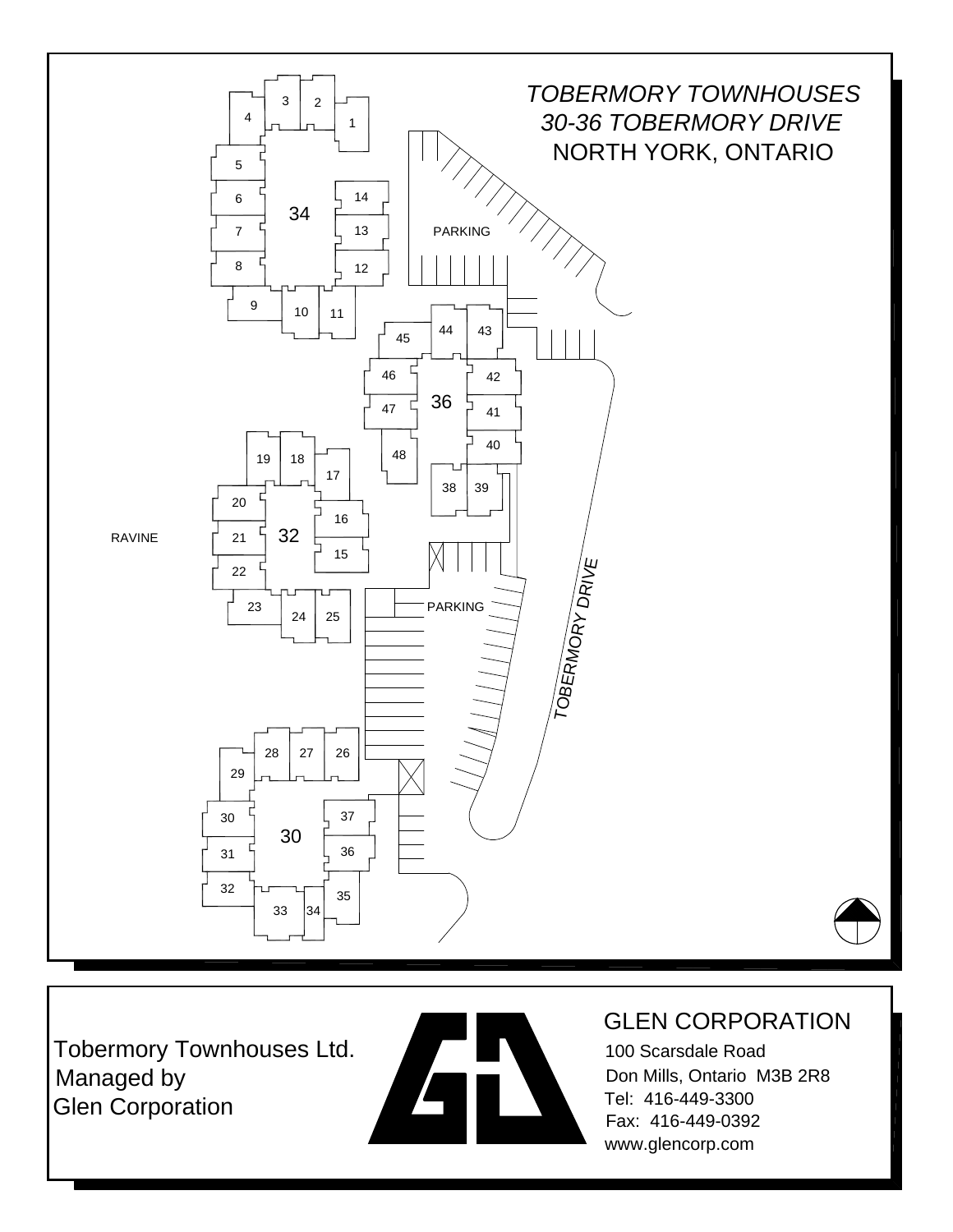

Tobermory Townhouses Ltd. Managed by Glen Corporation



#### GLEN CORPORATION

100 Scarsdale Road Don Mills, Ontario M3B 2R8 Tel: 416-449-3300 Fax: 416-449-0392 www.glencorp.com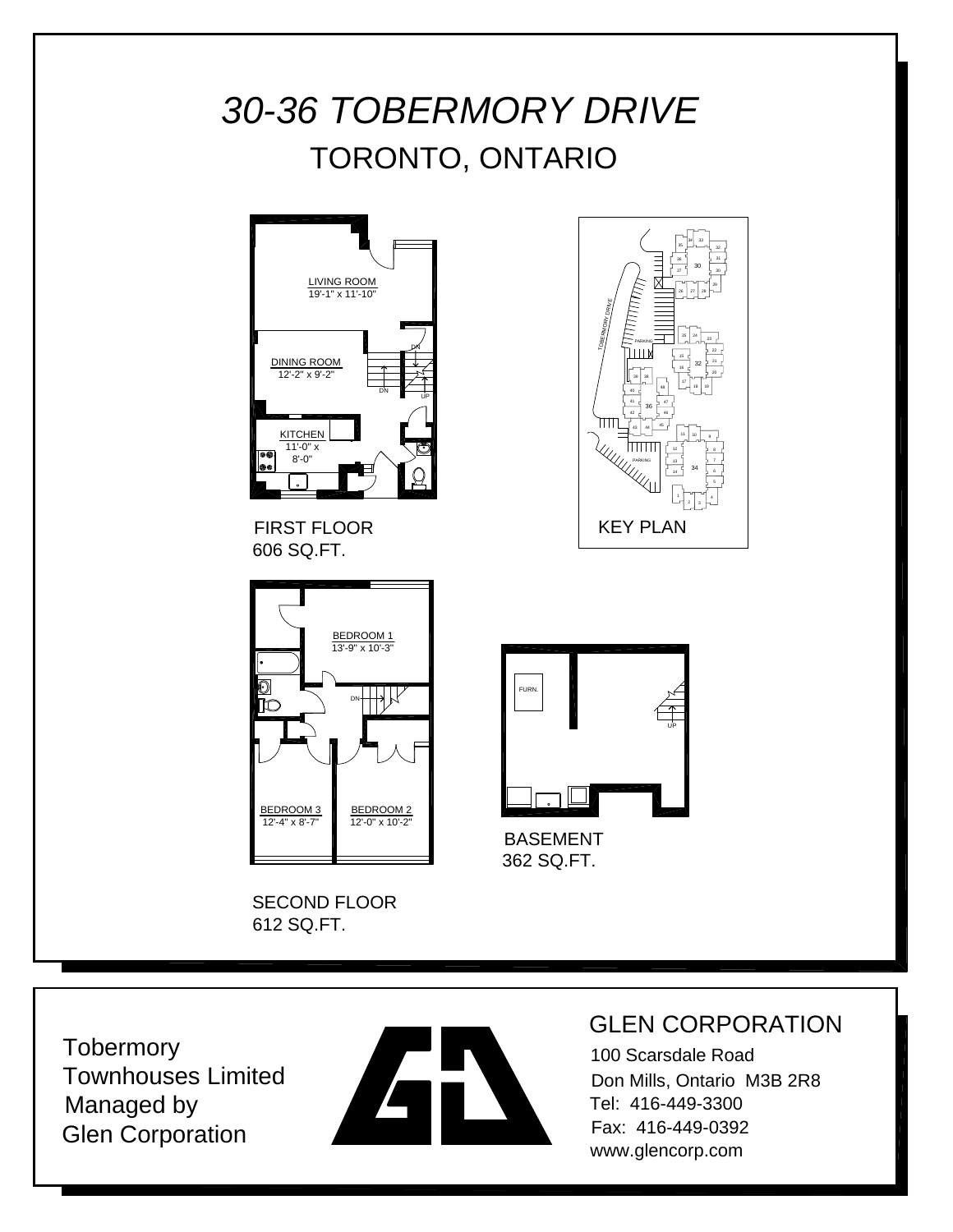# *30-36 TOBERMORY DRIVE* TORONTO, ONTARIO



FIRST FLOOR 606 SQ.FT.



SECOND FLOOR 612 SQ.FT.





BASEMENT 362 SQ.FT.

**Tobermory** Townhouses Limited Managed by Glen Corporation



### GLEN CORPORATION

100 Scarsdale Road Don Mills, Ontario M3B 2R8 Tel: 416-449-3300 Fax: 416-449-0392 www.glencorp.com